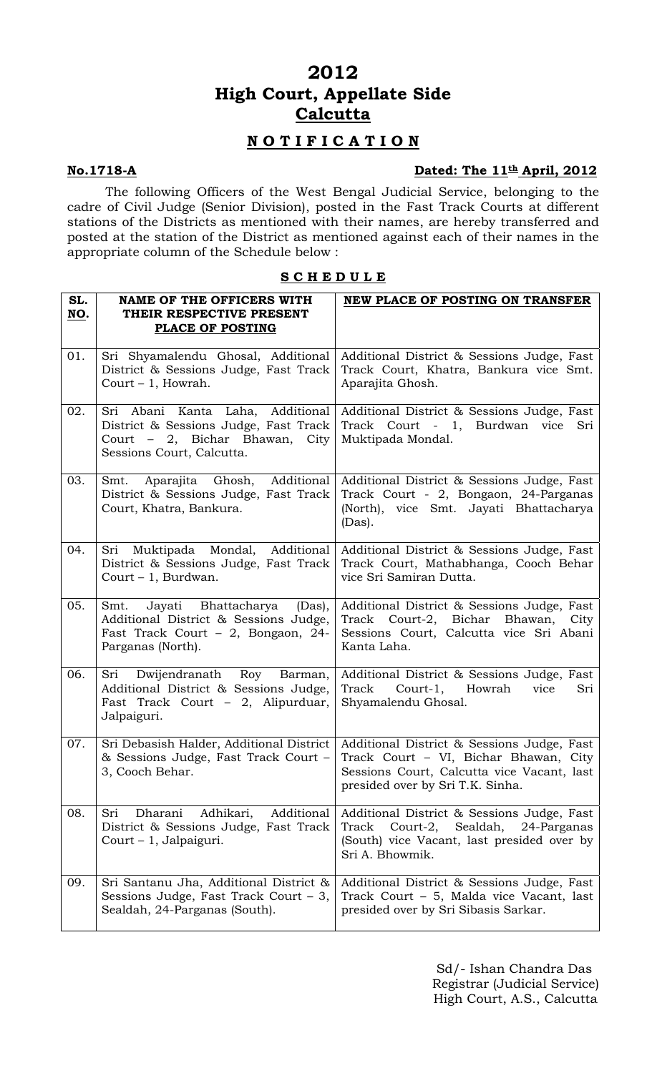# **2012 High Court, Appellate Side Calcutta**

# **N O T I F I C A T I O N**

## **No.1718-A** Dated: The 11<sup>th</sup> April, 2012

The following Officers of the West Bengal Judicial Service, belonging to the cadre of Civil Judge (Senior Division), posted in the Fast Track Courts at different stations of the Districts as mentioned with their names, are hereby transferred and posted at the station of the District as mentioned against each of their names in the appropriate column of the Schedule below :

## **S C H E D U L E**

| SL.<br>NO. | <b>NAME OF THE OFFICERS WITH</b><br>THEIR RESPECTIVE PRESENT<br><b>PLACE OF POSTING</b>                                                   | NEW PLACE OF POSTING ON TRANSFER                                                                                                                                      |
|------------|-------------------------------------------------------------------------------------------------------------------------------------------|-----------------------------------------------------------------------------------------------------------------------------------------------------------------------|
| 01.        | Sri Shyamalendu Ghosal, Additional<br>District & Sessions Judge, Fast Track<br>Court $-1$ , Howrah.                                       | Additional District & Sessions Judge, Fast<br>Track Court, Khatra, Bankura vice Smt.<br>Aparajita Ghosh.                                                              |
| 02.        | Sri Abani Kanta Laha, Additional<br>District & Sessions Judge, Fast Track<br>Court - 2, Bichar Bhawan, City<br>Sessions Court, Calcutta.  | Additional District & Sessions Judge, Fast<br>Track Court - 1, Burdwan vice<br>Sri<br>Muktipada Mondal.                                                               |
| 03.        | Aparajita Ghosh, Additional<br>Smt.<br>District & Sessions Judge, Fast Track<br>Court, Khatra, Bankura.                                   | Additional District & Sessions Judge, Fast<br>Track Court - 2, Bongaon, 24-Parganas<br>(North), vice Smt. Jayati Bhattacharya<br>(Das).                               |
| 04.        | Sri Muktipada Mondal, Additional<br>District & Sessions Judge, Fast Track<br>Court - 1, Burdwan.                                          | Additional District & Sessions Judge, Fast<br>Track Court, Mathabhanga, Cooch Behar<br>vice Sri Samiran Dutta.                                                        |
| 05.        | Smt.<br>Jayati Bhattacharya<br>(Das),<br>Additional District & Sessions Judge,<br>Fast Track Court - 2, Bongaon, 24-<br>Parganas (North). | Additional District & Sessions Judge, Fast<br>Track Court-2, Bichar Bhawan, City<br>Sessions Court, Calcutta vice Sri Abani<br>Kanta Laha.                            |
| 06.        | Sri Dwijendranath Roy Barman,<br>Additional District & Sessions Judge,<br>Fast Track Court $-2$ , Alipurduar,<br>Jalpaiguri.              | Additional District & Sessions Judge, Fast<br>Track Court-1, Howrah vice<br>Sri<br>Shyamalendu Ghosal.                                                                |
| 07.        | Sri Debasish Halder, Additional District<br>& Sessions Judge, Fast Track Court -<br>3, Cooch Behar.                                       | Additional District & Sessions Judge, Fast<br>Track Court - VI, Bichar Bhawan, City<br>Sessions Court, Calcutta vice Vacant, last<br>presided over by Sri T.K. Sinha. |
| 08.        | Additional<br>Adhikari,<br>Sri<br>Dharani<br>District & Sessions Judge, Fast Track<br>Court - 1, Jalpaiguri.                              | Additional District & Sessions Judge, Fast<br>Court-2,<br>Sealdah,<br>Track<br>24-Parganas<br>(South) vice Vacant, last presided over by<br>Sri A. Bhowmik.           |
| 09.        | Sri Santanu Jha, Additional District &<br>Sessions Judge, Fast Track Court $-3$ ,<br>Sealdah, 24-Parganas (South).                        | Additional District & Sessions Judge, Fast<br>Track Court - 5, Malda vice Vacant, last<br>presided over by Sri Sibasis Sarkar.                                        |

 Sd/- Ishan Chandra Das Registrar (Judicial Service) High Court, A.S., Calcutta